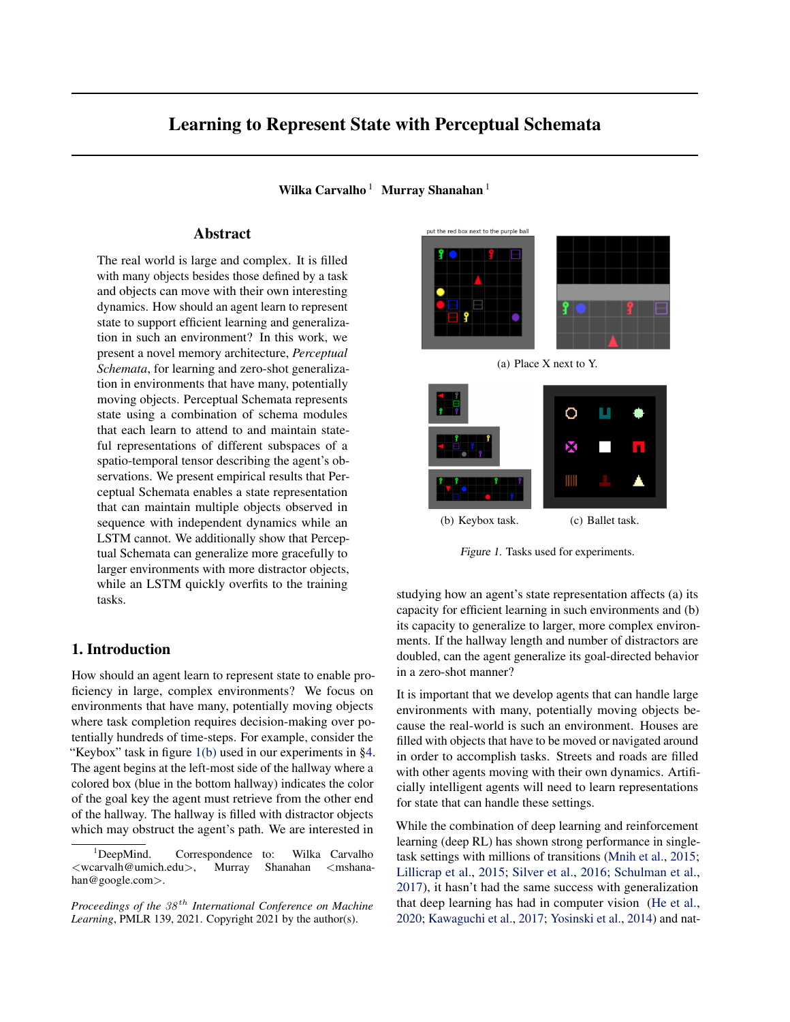# <span id="page-0-0"></span>Learning to Represent State with Perceptual Schemata

Wilka Carvalho  $1$  Murray Shanahan  $1$ 

# Abstract

The real world is large and complex. It is filled with many objects besides those defined by a task and objects can move with their own interesting dynamics. How should an agent learn to represent state to support efficient learning and generalization in such an environment? In this work, we present a novel memory architecture, *Perceptual Schemata*, for learning and zero-shot generalization in environments that have many, potentially moving objects. Perceptual Schemata represents state using a combination of schema modules that each learn to attend to and maintain stateful representations of different subspaces of a spatio-temporal tensor describing the agent's observations. We present empirical results that Perceptual Schemata enables a state representation that can maintain multiple objects observed in sequence with independent dynamics while an LSTM cannot. We additionally show that Perceptual Schemata can generalize more gracefully to larger environments with more distractor objects, while an LSTM quickly overfits to the training tasks.

### 1. Introduction

How should an agent learn to represent state to enable proficiency in large, complex environments? We focus on environments that have many, potentially moving objects where task completion requires decision-making over potentially hundreds of time-steps. For example, consider the "Keybox" task in figure 1(b) used in our experiments in [§4.](#page-3-0) The agent begins at the left-most side of the hallway where a colored box (blue in the bottom hallway) indicates the color of the goal key the agent must retrieve from the other end of the hallway. The hallway is filled with distractor objects which may obstruct the agent's path. We are interested in



(a) Place X next to Y.



Figure 1. Tasks used for experiments.

studying how an agent's state representation affects (a) its capacity for efficient learning in such environments and (b) its capacity to generalize to larger, more complex environments. If the hallway length and number of distractors are doubled, can the agent generalize its goal-directed behavior in a zero-shot manner?

It is important that we develop agents that can handle large environments with many, potentially moving objects because the real-world is such an environment. Houses are filled with objects that have to be moved or navigated around in order to accomplish tasks. Streets and roads are filled with other agents moving with their own dynamics. Artificially intelligent agents will need to learn representations for state that can handle these settings.

While the combination of deep learning and reinforcement learning (deep RL) has shown strong performance in singletask settings with millions of transitions [\(Mnih et al.,](#page-7-0) [2015;](#page-7-0) [Lillicrap et al.,](#page-7-0) [2015;](#page-7-0) [Silver et al.,](#page-7-0) [2016;](#page-7-0) [Schulman et al.,](#page-7-0) [2017\)](#page-7-0), it hasn't had the same success with generalization that deep learning has had in computer vision [\(He et al.,](#page-6-0) [2020;](#page-6-0) [Kawaguchi et al.,](#page-7-0) [2017;](#page-7-0) [Yosinski et al.,](#page-7-0) [2014\)](#page-7-0) and nat-

<sup>&</sup>lt;sup>1</sup>DeepMind. Correspondence to: Wilka Carvalho <wcarvalh@umich.edu>, Murray Shanahan <mshanahan@google.com>.

*Proceedings of the*  $38<sup>th</sup>$  *International Conference on Machine Learning*, PMLR 139, 2021. Copyright 2021 by the author(s).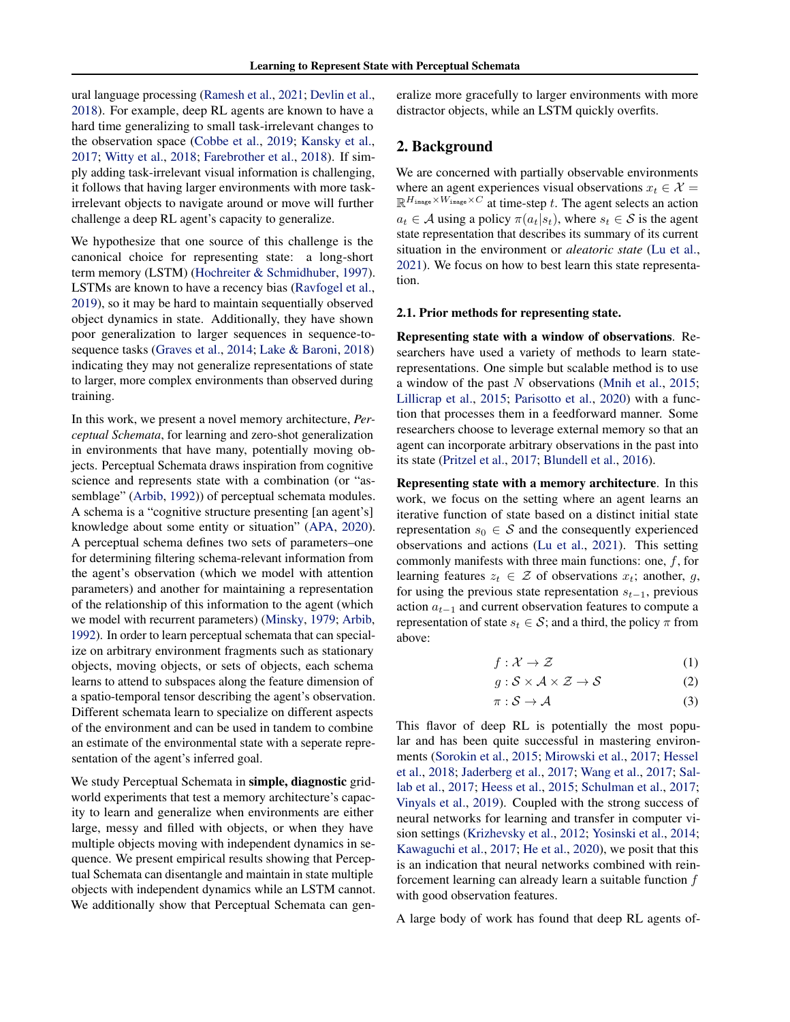ural language processing [\(Ramesh et al.,](#page-7-0) [2021;](#page-7-0) [Devlin et al.,](#page-6-0) [2018\)](#page-6-0). For example, deep RL agents are known to have a hard time generalizing to small task-irrelevant changes to the observation space [\(Cobbe et al.,](#page-6-0) [2019;](#page-6-0) [Kansky et al.,](#page-6-0) [2017;](#page-6-0) [Witty et al.,](#page-7-0) [2018;](#page-7-0) [Farebrother et al.,](#page-6-0) [2018\)](#page-6-0). If simply adding task-irrelevant visual information is challenging, it follows that having larger environments with more taskirrelevant objects to navigate around or move will further challenge a deep RL agent's capacity to generalize.

We hypothesize that one source of this challenge is the canonical choice for representing state: a long-short term memory (LSTM) [\(Hochreiter & Schmidhuber,](#page-6-0) [1997\)](#page-6-0). LSTMs are known to have a recency bias [\(Ravfogel et al.,](#page-7-0) [2019\)](#page-7-0), so it may be hard to maintain sequentially observed object dynamics in state. Additionally, they have shown poor generalization to larger sequences in sequence-tosequence tasks [\(Graves et al.,](#page-6-0) [2014;](#page-6-0) [Lake & Baroni,](#page-7-0) [2018\)](#page-7-0) indicating they may not generalize representations of state to larger, more complex environments than observed during training.

In this work, we present a novel memory architecture, *Perceptual Schemata*, for learning and zero-shot generalization in environments that have many, potentially moving objects. Perceptual Schemata draws inspiration from cognitive science and represents state with a combination (or "as-semblage" [\(Arbib,](#page-6-0) [1992\)](#page-6-0)) of perceptual schemata modules. A schema is a "cognitive structure presenting [an agent's] knowledge about some entity or situation" [\(APA,](#page-6-0) [2020\)](#page-6-0). A perceptual schema defines two sets of parameters–one for determining filtering schema-relevant information from the agent's observation (which we model with attention parameters) and another for maintaining a representation of the relationship of this information to the agent (which we model with recurrent parameters) [\(Minsky,](#page-7-0) [1979;](#page-7-0) [Arbib,](#page-6-0) [1992\)](#page-6-0). In order to learn perceptual schemata that can specialize on arbitrary environment fragments such as stationary objects, moving objects, or sets of objects, each schema learns to attend to subspaces along the feature dimension of a spatio-temporal tensor describing the agent's observation. Different schemata learn to specialize on different aspects of the environment and can be used in tandem to combine an estimate of the environmental state with a seperate representation of the agent's inferred goal.

We study Perceptual Schemata in simple, diagnostic gridworld experiments that test a memory architecture's capacity to learn and generalize when environments are either large, messy and filled with objects, or when they have multiple objects moving with independent dynamics in sequence. We present empirical results showing that Perceptual Schemata can disentangle and maintain in state multiple objects with independent dynamics while an LSTM cannot. We additionally show that Perceptual Schemata can generalize more gracefully to larger environments with more distractor objects, while an LSTM quickly overfits.

### 2. Background

We are concerned with partially observable environments where an agent experiences visual observations  $x_t \in \mathcal{X}$  =  $\mathbb{R}^{H_{\text{image}} \times W_{\text{image}} \times C}$  at time-step t. The agent selects an action  $a_t \in \mathcal{A}$  using a policy  $\pi(a_t|s_t)$ , where  $s_t \in \mathcal{S}$  is the agent state representation that describes its summary of its current situation in the environment or *aleatoric state* [\(Lu et al.,](#page-7-0) [2021\)](#page-7-0). We focus on how to best learn this state representation.

#### 2.1. Prior methods for representing state.

Representing state with a window of observations. Researchers have used a variety of methods to learn staterepresentations. One simple but scalable method is to use a window of the past N observations [\(Mnih et al.,](#page-7-0) [2015;](#page-7-0) [Lillicrap et al.,](#page-7-0) [2015;](#page-7-0) [Parisotto et al.,](#page-7-0) [2020\)](#page-7-0) with a function that processes them in a feedforward manner. Some researchers choose to leverage external memory so that an agent can incorporate arbitrary observations in the past into its state [\(Pritzel et al.,](#page-7-0) [2017;](#page-7-0) [Blundell et al.,](#page-6-0) [2016\)](#page-6-0).

Representing state with a memory architecture. In this work, we focus on the setting where an agent learns an iterative function of state based on a distinct initial state representation  $s_0 \in S$  and the consequently experienced observations and actions [\(Lu et al.,](#page-7-0) [2021\)](#page-7-0). This setting commonly manifests with three main functions: one,  $f$ , for learning features  $z_t \in \mathcal{Z}$  of observations  $x_t$ ; another, g, for using the previous state representation  $s_{t-1}$ , previous action  $a_{t-1}$  and current observation features to compute a representation of state  $s_t \in S$ ; and a third, the policy  $\pi$  from above:

$$
f: \mathcal{X} \to \mathcal{Z} \tag{1}
$$

$$
g: \mathcal{S} \times \mathcal{A} \times \mathcal{Z} \to \mathcal{S} \tag{2}
$$

$$
\pi: \mathcal{S} \to \mathcal{A} \tag{3}
$$

This flavor of deep RL is potentially the most popular and has been quite successful in mastering environments [\(Sorokin et al.,](#page-7-0) [2015;](#page-7-0) [Mirowski et al.,](#page-7-0) [2017;](#page-7-0) [Hessel](#page-6-0) [et al.,](#page-6-0) [2018;](#page-6-0) [Jaderberg et al.,](#page-6-0) [2017;](#page-6-0) [Wang et al.,](#page-7-0) [2017;](#page-7-0) [Sal](#page-7-0)[lab et al.,](#page-7-0) [2017;](#page-7-0) [Heess et al.,](#page-6-0) [2015;](#page-6-0) [Schulman et al.,](#page-7-0) [2017;](#page-7-0) [Vinyals et al.,](#page-7-0) [2019\)](#page-7-0). Coupled with the strong success of neural networks for learning and transfer in computer vision settings [\(Krizhevsky et al.,](#page-7-0) [2012;](#page-7-0) [Yosinski et al.,](#page-7-0) [2014;](#page-7-0) [Kawaguchi et al.,](#page-7-0) [2017;](#page-7-0) [He et al.,](#page-6-0) [2020\)](#page-6-0), we posit that this is an indication that neural networks combined with reinforcement learning can already learn a suitable function  $f$ with good observation features.

A large body of work has found that deep RL agents of-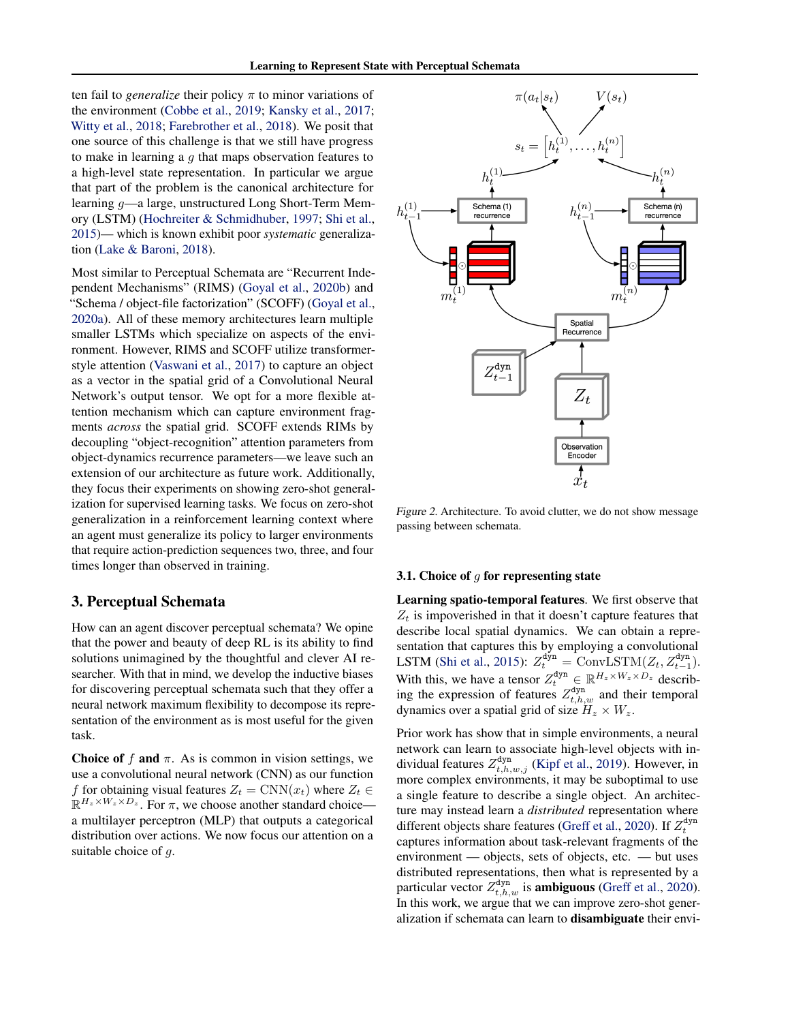<span id="page-2-0"></span>ten fail to *generalize* their policy  $\pi$  to minor variations of the environment [\(Cobbe et al.,](#page-6-0) [2019;](#page-6-0) [Kansky et al.,](#page-6-0) [2017;](#page-6-0) [Witty et al.,](#page-7-0) [2018;](#page-7-0) [Farebrother et al.,](#page-6-0) [2018\)](#page-6-0). We posit that one source of this challenge is that we still have progress to make in learning a  $q$  that maps observation features to a high-level state representation. In particular we argue that part of the problem is the canonical architecture for learning g—a large, unstructured Long Short-Term Memory (LSTM) [\(Hochreiter & Schmidhuber,](#page-6-0) [1997;](#page-6-0) [Shi et al.,](#page-7-0) [2015\)](#page-7-0)— which is known exhibit poor *systematic* generalization [\(Lake & Baroni,](#page-7-0) [2018\)](#page-7-0).

Most similar to Perceptual Schemata are "Recurrent Independent Mechanisms" (RIMS) [\(Goyal et al.,](#page-6-0) [2020b\)](#page-6-0) and "Schema / object-file factorization" (SCOFF) [\(Goyal et al.,](#page-6-0) [2020a\)](#page-6-0). All of these memory architectures learn multiple smaller LSTMs which specialize on aspects of the environment. However, RIMS and SCOFF utilize transformerstyle attention [\(Vaswani et al.,](#page-7-0) [2017\)](#page-7-0) to capture an object as a vector in the spatial grid of a Convolutional Neural Network's output tensor. We opt for a more flexible attention mechanism which can capture environment fragments *across* the spatial grid. SCOFF extends RIMs by decoupling "object-recognition" attention parameters from object-dynamics recurrence parameters—we leave such an extension of our architecture as future work. Additionally, they focus their experiments on showing zero-shot generalization for supervised learning tasks. We focus on zero-shot generalization in a reinforcement learning context where an agent must generalize its policy to larger environments that require action-prediction sequences two, three, and four times longer than observed in training.

### 3. Perceptual Schemata

How can an agent discover perceptual schemata? We opine that the power and beauty of deep RL is its ability to find solutions unimagined by the thoughtful and clever AI researcher. With that in mind, we develop the inductive biases for discovering perceptual schemata such that they offer a neural network maximum flexibility to decompose its representation of the environment as is most useful for the given task.

Choice of f and  $\pi$ . As is common in vision settings, we use a convolutional neural network (CNN) as our function f for obtaining visual features  $Z_t = \text{CNN}(x_t)$  where  $Z_t \in$  $\mathbb{R}^{H_z \times W_z \times D_z}$ . For  $\pi$ , we choose another standard choice a multilayer perceptron (MLP) that outputs a categorical distribution over actions. We now focus our attention on a suitable choice of q.



Figure 2. Architecture. To avoid clutter, we do not show message passing between schemata.

#### 3.1. Choice of  $q$  for representing state

Learning spatio-temporal features. We first observe that  $Z_t$  is impoverished in that it doesn't capture features that describe local spatial dynamics. We can obtain a representation that captures this by employing a convolutional LSTM [\(Shi et al.,](#page-7-0) [2015\)](#page-7-0):  $Z_t^{\text{dyn}} = \text{ConvLSTM}(Z_t, Z_{t-1}^{\text{dyn}})$ . With this, we have a tensor  $Z_t^{\text{dyn}} \in \mathbb{R}^{H_z \times W_z \times D_z}$  describing the expression of features  $Z_{t,h,w}^{\text{dyn}}$  and their temporal dynamics over a spatial grid of size  $H_z \times W_z$ .

Prior work has show that in simple environments, a neural network can learn to associate high-level objects with individual features  $Z_{t,h,w,j}^{\text{dyn}}$  [\(Kipf et al.,](#page-7-0) [2019\)](#page-7-0). However, in more complex environments, it may be suboptimal to use a single feature to describe a single object. An architecture may instead learn a *distributed* representation where different objects share features [\(Greff et al.,](#page-6-0) [2020\)](#page-6-0). If  $Z_t^{\text{dyn}}$ captures information about task-relevant fragments of the environment — objects, sets of objects, etc. — but uses distributed representations, then what is represented by a particular vector  $Z_{t,h,w}^{\text{dyn}}$  is **ambiguous** [\(Greff et al.,](#page-6-0) [2020\)](#page-6-0). In this work, we argue that we can improve zero-shot generalization if schemata can learn to disambiguate their envi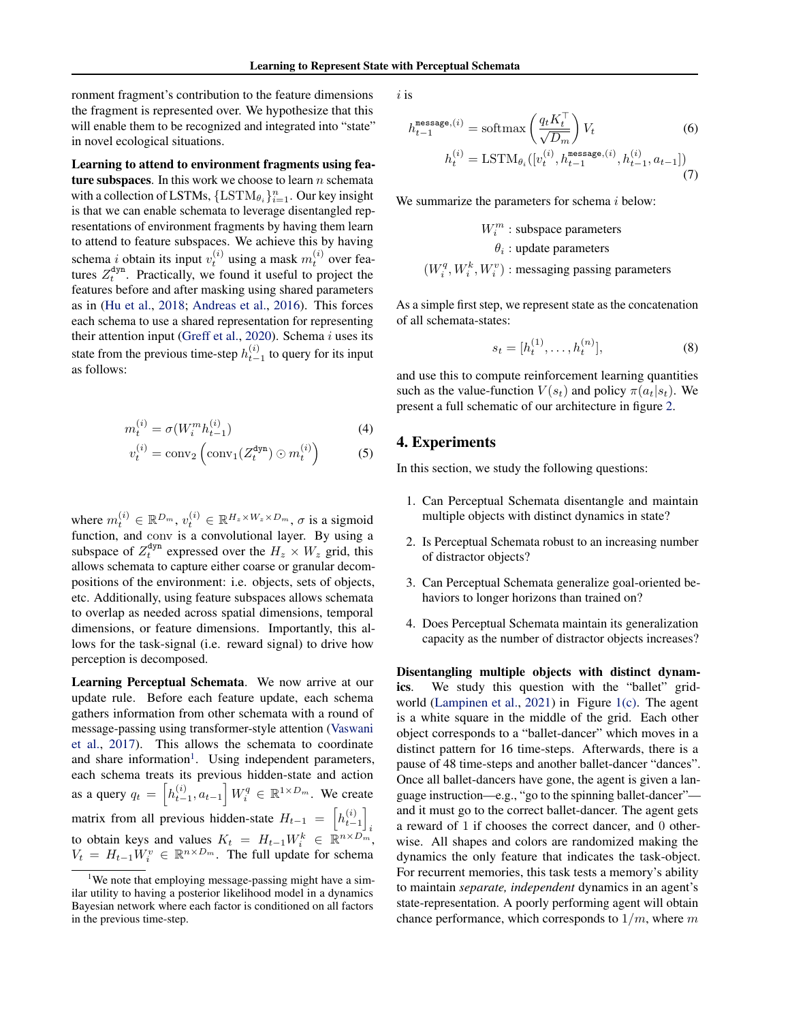<span id="page-3-0"></span>ronment fragment's contribution to the feature dimensions the fragment is represented over. We hypothesize that this will enable them to be recognized and integrated into "state" in novel ecological situations.

Learning to attend to environment fragments using feature subspaces. In this work we choose to learn  $n$  schemata with a collection of LSTMs,  $\{ \text{LSTM}_{\theta_i} \}_{i=1}^n$ . Our key insight is that we can enable schemata to leverage disentangled representations of environment fragments by having them learn to attend to feature subspaces. We achieve this by having schema *i* obtain its input  $v_t^{(i)}$  using a mask  $m_t^{(i)}$  over features  $Z_t^{\text{dyn}}$ . Practically, we found it useful to project the features before and after masking using shared parameters as in [\(Hu et al.,](#page-6-0) [2018;](#page-6-0) [Andreas et al.,](#page-6-0) [2016\)](#page-6-0). This forces each schema to use a shared representation for representing their attention input [\(Greff et al.,](#page-6-0) [2020\)](#page-6-0). Schema  $i$  uses its state from the previous time-step  $h_{t-1}^{(i)}$  to query for its input as follows:

$$
m_t^{(i)} = \sigma(W_i^m h_{t-1}^{(i)})
$$
\n(4)

$$
v_t^{(i)} = \text{conv}_2\left(\text{conv}_1(Z_t^{\text{dyn}}) \odot m_t^{(i)}\right) \tag{5}
$$

where  $m_t^{(i)} \in \mathbb{R}^{D_m}$ ,  $v_t^{(i)} \in \mathbb{R}^{H_z \times W_z \times D_m}$ ,  $\sigma$  is a sigmoid function, and conv is a convolutional layer. By using a subspace of  $Z_t^{\text{dyn}}$  expressed over the  $H_z \times W_z$  grid, this allows schemata to capture either coarse or granular decompositions of the environment: i.e. objects, sets of objects, etc. Additionally, using feature subspaces allows schemata to overlap as needed across spatial dimensions, temporal dimensions, or feature dimensions. Importantly, this allows for the task-signal (i.e. reward signal) to drive how perception is decomposed.

Learning Perceptual Schemata. We now arrive at our update rule. Before each feature update, each schema gathers information from other schemata with a round of message-passing using transformer-style attention [\(Vaswani](#page-7-0) [et al.,](#page-7-0) [2017\)](#page-7-0). This allows the schemata to coordinate and share information<sup>1</sup>. Using independent parameters, each schema treats its previous hidden-state and action as a query  $q_t = \left[ h_{t-1}^{(i)}, a_{t-1} \right] W_i^q \in \mathbb{R}^{1 \times D_m}$ . We create matrix from all previous hidden-state  $H_{t-1} = \left[ h_{t-1}^{(i)} \right]$ i to obtain keys and values  $K_t = H_{t-1} W_i^k \in \mathbb{R}^{n \times D_m^k}$ ,  $V_t = H_{t-1} \dot{W}_i^v \in \mathbb{R}^{n \times D_m}$ . The full update for schema

i is

$$
h_{t-1}^{\text{message},(i)} = \text{softmax}\left(\frac{q_t K_t^{\top}}{\sqrt{D_m}}\right) V_t
$$
\n
$$
h_t^{(i)} = \text{LSTM}_{\theta_i}([v_t^{(i)}, h_{t-1}^{\text{message}, (i)}, h_{t-1}^{(i)}, a_{t-1}])
$$
\n(7)

We summarize the parameters for schema  $i$  below:

$$
W_i^m
$$
: subspace parameters  

$$
\theta_i
$$
: update parameters

$$
(\boldsymbol{W}^{q}_i, \boldsymbol{W}^{k}_i, \boldsymbol{W}^{v}_i)
$$
 : messaging passing parameters

As a simple first step, we represent state as the concatenation of all schemata-states:

$$
s_t = [h_t^{(1)}, \dots, h_t^{(n)}],\tag{8}
$$

and use this to compute reinforcement learning quantities such as the value-function  $V(s_t)$  and policy  $\pi(a_t|s_t)$ . We present a full schematic of our architecture in figure [2.](#page-2-0)

### 4. Experiments

In this section, we study the following questions:

- 1. Can Perceptual Schemata disentangle and maintain multiple objects with distinct dynamics in state?
- 2. Is Perceptual Schemata robust to an increasing number of distractor objects?
- 3. Can Perceptual Schemata generalize goal-oriented behaviors to longer horizons than trained on?
- 4. Does Perceptual Schemata maintain its generalization capacity as the number of distractor objects increases?

Disentangling multiple objects with distinct dynamics. We study this question with the "ballet" gridworld [\(Lampinen et al.,](#page-7-0) [2021\)](#page-7-0) in Figure [1\(c\).](#page-0-0) The agent is a white square in the middle of the grid. Each other object corresponds to a "ballet-dancer" which moves in a distinct pattern for 16 time-steps. Afterwards, there is a pause of 48 time-steps and another ballet-dancer "dances". Once all ballet-dancers have gone, the agent is given a language instruction—e.g., "go to the spinning ballet-dancer" and it must go to the correct ballet-dancer. The agent gets a reward of 1 if chooses the correct dancer, and 0 otherwise. All shapes and colors are randomized making the dynamics the only feature that indicates the task-object. For recurrent memories, this task tests a memory's ability to maintain *separate, independent* dynamics in an agent's state-representation. A poorly performing agent will obtain chance performance, which corresponds to  $1/m$ , where m

<sup>&</sup>lt;sup>1</sup>We note that employing message-passing might have a similar utility to having a posterior likelihood model in a dynamics Bayesian network where each factor is conditioned on all factors in the previous time-step.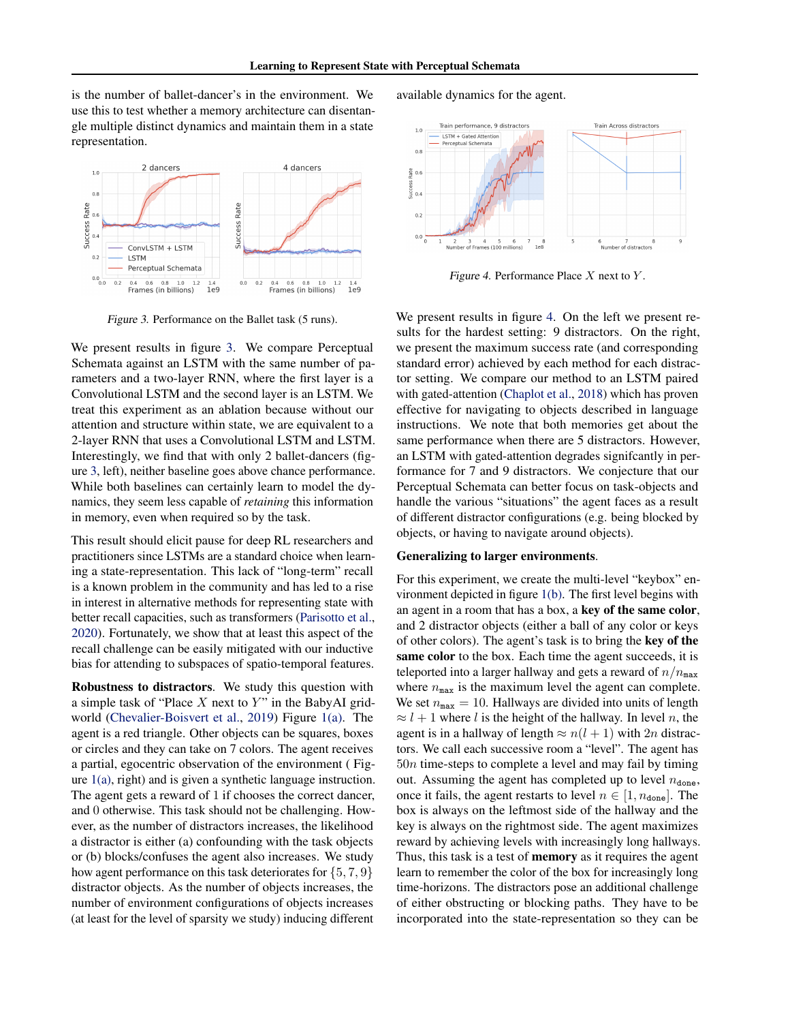is the number of ballet-dancer's in the environment. We use this to test whether a memory architecture can disentangle multiple distinct dynamics and maintain them in a state representation.



Figure 3. Performance on the Ballet task (5 runs).

We present results in figure 3. We compare Perceptual Schemata against an LSTM with the same number of parameters and a two-layer RNN, where the first layer is a Convolutional LSTM and the second layer is an LSTM. We treat this experiment as an ablation because without our attention and structure within state, we are equivalent to a 2-layer RNN that uses a Convolutional LSTM and LSTM. Interestingly, we find that with only 2 ballet-dancers (figure 3, left), neither baseline goes above chance performance. While both baselines can certainly learn to model the dynamics, they seem less capable of *retaining* this information in memory, even when required so by the task.

This result should elicit pause for deep RL researchers and practitioners since LSTMs are a standard choice when learning a state-representation. This lack of "long-term" recall is a known problem in the community and has led to a rise in interest in alternative methods for representing state with better recall capacities, such as transformers [\(Parisotto et al.,](#page-7-0) [2020\)](#page-7-0). Fortunately, we show that at least this aspect of the recall challenge can be easily mitigated with our inductive bias for attending to subspaces of spatio-temporal features.

Robustness to distractors. We study this question with a simple task of "Place  $X$  next to  $Y$ " in the BabyAI gridworld [\(Chevalier-Boisvert et al.,](#page-6-0) [2019\)](#page-6-0) Figure [1\(a\).](#page-0-0) The agent is a red triangle. Other objects can be squares, boxes or circles and they can take on 7 colors. The agent receives a partial, egocentric observation of the environment ( Figure  $1(a)$ , right) and is given a synthetic language instruction. The agent gets a reward of 1 if chooses the correct dancer, and 0 otherwise. This task should not be challenging. However, as the number of distractors increases, the likelihood a distractor is either (a) confounding with the task objects or (b) blocks/confuses the agent also increases. We study how agent performance on this task deteriorates for  $\{5, 7, 9\}$ distractor objects. As the number of objects increases, the number of environment configurations of objects increases (at least for the level of sparsity we study) inducing different

available dynamics for the agent.



Figure 4. Performance Place  $X$  next to  $Y$ .

We present results in figure 4. On the left we present results for the hardest setting: 9 distractors. On the right, we present the maximum success rate (and corresponding standard error) achieved by each method for each distractor setting. We compare our method to an LSTM paired with gated-attention [\(Chaplot et al.,](#page-6-0) [2018\)](#page-6-0) which has proven effective for navigating to objects described in language instructions. We note that both memories get about the same performance when there are 5 distractors. However, an LSTM with gated-attention degrades signifcantly in performance for 7 and 9 distractors. We conjecture that our Perceptual Schemata can better focus on task-objects and handle the various "situations" the agent faces as a result of different distractor configurations (e.g. being blocked by objects, or having to navigate around objects).

#### Generalizing to larger environments.

For this experiment, we create the multi-level "keybox" environment depicted in figure [1\(b\).](#page-0-0) The first level begins with an agent in a room that has a box, a key of the same color, and 2 distractor objects (either a ball of any color or keys of other colors). The agent's task is to bring the key of the same color to the box. Each time the agent succeeds, it is teleported into a larger hallway and gets a reward of  $n/n_{\text{max}}$ where  $n_{\text{max}}$  is the maximum level the agent can complete. We set  $n_{\text{max}} = 10$ . Hallways are divided into units of length  $\approx$  l + 1 where l is the height of the hallway. In level n, the agent is in a hallway of length  $\approx n(l+1)$  with 2n distractors. We call each successive room a "level". The agent has  $50n$  time-steps to complete a level and may fail by timing out. Assuming the agent has completed up to level  $n_{\text{done}}$ , once it fails, the agent restarts to level  $n \in [1, n_{\text{done}}]$ . The box is always on the leftmost side of the hallway and the key is always on the rightmost side. The agent maximizes reward by achieving levels with increasingly long hallways. Thus, this task is a test of **memory** as it requires the agent learn to remember the color of the box for increasingly long time-horizons. The distractors pose an additional challenge of either obstructing or blocking paths. They have to be incorporated into the state-representation so they can be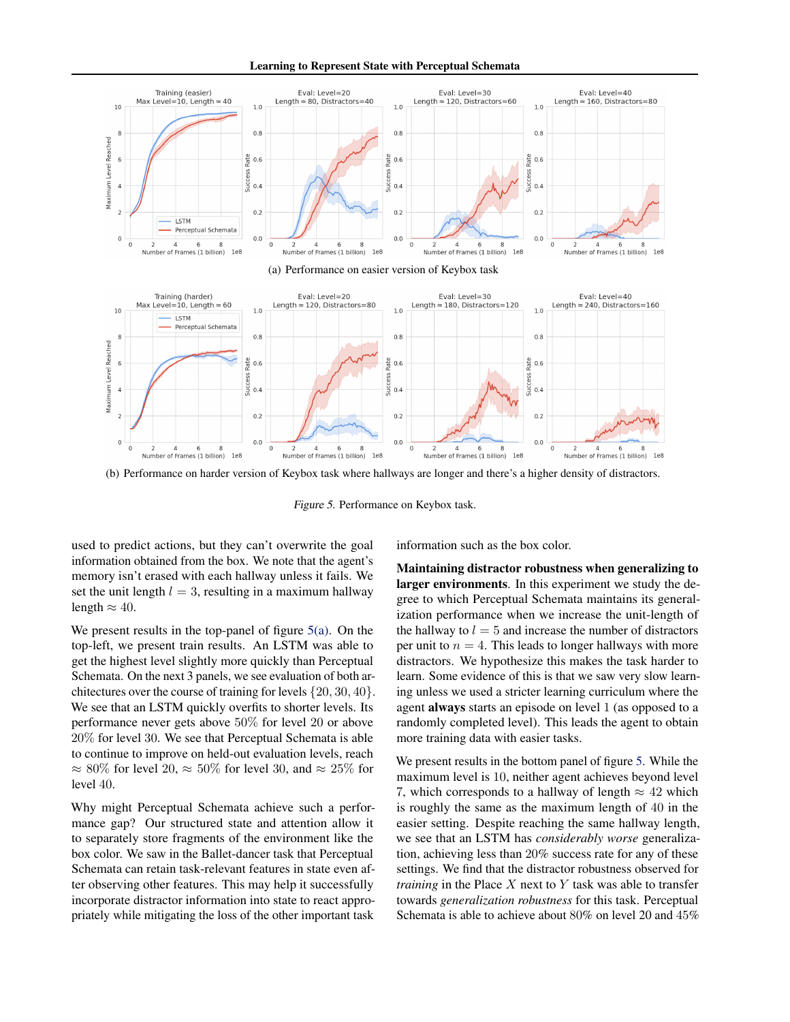Learning to Represent State with Perceptual Schemata



(b) Performance on harder version of Keybox task where hallways are longer and there's a higher density of distractors.

Figure 5. Performance on Keybox task.

used to predict actions, but they can't overwrite the goal information obtained from the box. We note that the agent's memory isn't erased with each hallway unless it fails. We set the unit length  $l = 3$ , resulting in a maximum hallway length  $\approx 40$ .

We present results in the top-panel of figure  $5(a)$ . On the top-left, we present train results. An LSTM was able to get the highest level slightly more quickly than Perceptual Schemata. On the next 3 panels, we see evaluation of both architectures over the course of training for levels {20, 30, 40}. We see that an LSTM quickly overfits to shorter levels. Its performance never gets above 50% for level 20 or above 20% for level 30. We see that Perceptual Schemata is able to continue to improve on held-out evaluation levels, reach  $\approx 80\%$  for level 20,  $\approx 50\%$  for level 30, and  $\approx 25\%$  for level 40.

Why might Perceptual Schemata achieve such a performance gap? Our structured state and attention allow it to separately store fragments of the environment like the box color. We saw in the Ballet-dancer task that Perceptual Schemata can retain task-relevant features in state even after observing other features. This may help it successfully incorporate distractor information into state to react appropriately while mitigating the loss of the other important task information such as the box color.

Maintaining distractor robustness when generalizing to larger environments. In this experiment we study the degree to which Perceptual Schemata maintains its generalization performance when we increase the unit-length of the hallway to  $l = 5$  and increase the number of distractors per unit to  $n = 4$ . This leads to longer hallways with more distractors. We hypothesize this makes the task harder to learn. Some evidence of this is that we saw very slow learning unless we used a stricter learning curriculum where the agent always starts an episode on level 1 (as opposed to a randomly completed level). This leads the agent to obtain more training data with easier tasks.

We present results in the bottom panel of figure 5. While the maximum level is 10, neither agent achieves beyond level 7, which corresponds to a hallway of length  $\approx 42$  which is roughly the same as the maximum length of 40 in the easier setting. Despite reaching the same hallway length, we see that an LSTM has *considerably worse* generalization, achieving less than 20% success rate for any of these settings. We find that the distractor robustness observed for *training* in the Place X next to Y task was able to transfer towards *generalization robustness* for this task. Perceptual Schemata is able to achieve about 80% on level 20 and 45%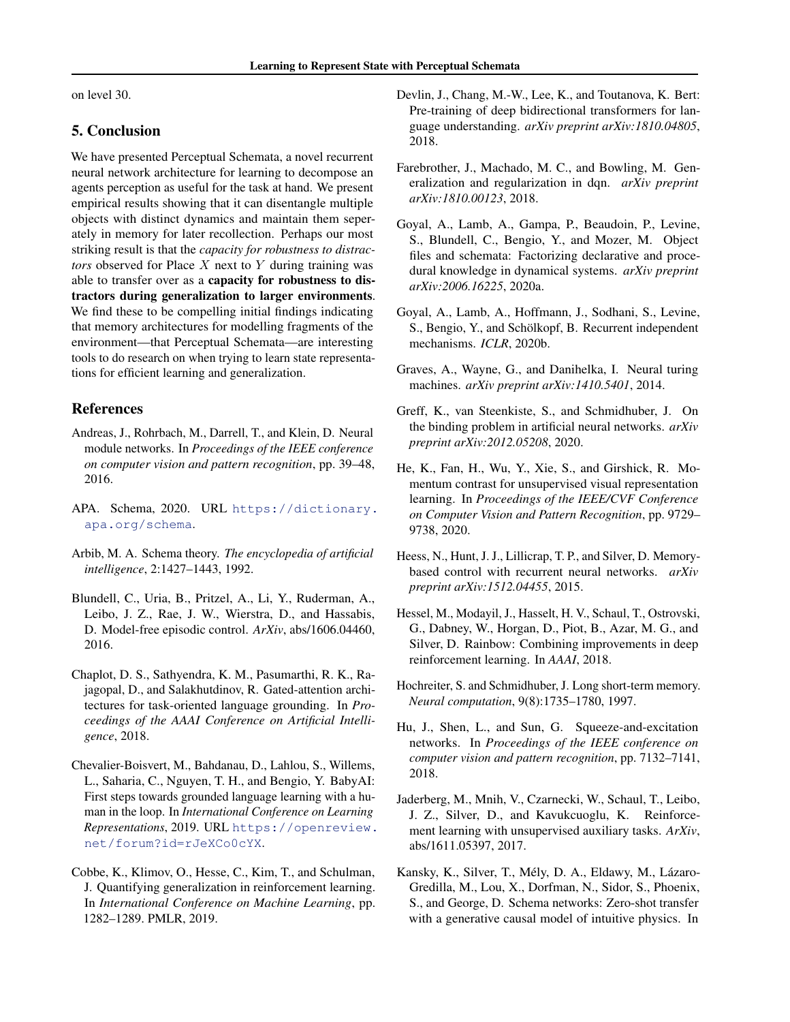<span id="page-6-0"></span>on level 30.

## 5. Conclusion

We have presented Perceptual Schemata, a novel recurrent neural network architecture for learning to decompose an agents perception as useful for the task at hand. We present empirical results showing that it can disentangle multiple objects with distinct dynamics and maintain them seperately in memory for later recollection. Perhaps our most striking result is that the *capacity for robustness to distractors* observed for Place X next to Y during training was able to transfer over as a capacity for robustness to distractors during generalization to larger environments. We find these to be compelling initial findings indicating that memory architectures for modelling fragments of the environment—that Perceptual Schemata—are interesting tools to do research on when trying to learn state representations for efficient learning and generalization.

# References

- Andreas, J., Rohrbach, M., Darrell, T., and Klein, D. Neural module networks. In *Proceedings of the IEEE conference on computer vision and pattern recognition*, pp. 39–48, 2016.
- APA. Schema, 2020. URL [https://dictionary.](https://dictionary.apa.org/schema) [apa.org/schema](https://dictionary.apa.org/schema).
- Arbib, M. A. Schema theory. *The encyclopedia of artificial intelligence*, 2:1427–1443, 1992.
- Blundell, C., Uria, B., Pritzel, A., Li, Y., Ruderman, A., Leibo, J. Z., Rae, J. W., Wierstra, D., and Hassabis, D. Model-free episodic control. *ArXiv*, abs/1606.04460, 2016.
- Chaplot, D. S., Sathyendra, K. M., Pasumarthi, R. K., Rajagopal, D., and Salakhutdinov, R. Gated-attention architectures for task-oriented language grounding. In *Proceedings of the AAAI Conference on Artificial Intelligence*, 2018.
- Chevalier-Boisvert, M., Bahdanau, D., Lahlou, S., Willems, L., Saharia, C., Nguyen, T. H., and Bengio, Y. BabyAI: First steps towards grounded language learning with a human in the loop. In *International Conference on Learning Representations*, 2019. URL [https://openreview.](https://openreview.net/forum?id=rJeXCo0cYX) [net/forum?id=rJeXCo0cYX](https://openreview.net/forum?id=rJeXCo0cYX).
- Cobbe, K., Klimov, O., Hesse, C., Kim, T., and Schulman, J. Quantifying generalization in reinforcement learning. In *International Conference on Machine Learning*, pp. 1282–1289. PMLR, 2019.
- Devlin, J., Chang, M.-W., Lee, K., and Toutanova, K. Bert: Pre-training of deep bidirectional transformers for language understanding. *arXiv preprint arXiv:1810.04805*, 2018.
- Farebrother, J., Machado, M. C., and Bowling, M. Generalization and regularization in dqn. *arXiv preprint arXiv:1810.00123*, 2018.
- Goyal, A., Lamb, A., Gampa, P., Beaudoin, P., Levine, S., Blundell, C., Bengio, Y., and Mozer, M. Object files and schemata: Factorizing declarative and procedural knowledge in dynamical systems. *arXiv preprint arXiv:2006.16225*, 2020a.
- Goyal, A., Lamb, A., Hoffmann, J., Sodhani, S., Levine, S., Bengio, Y., and Schölkopf, B. Recurrent independent mechanisms. *ICLR*, 2020b.
- Graves, A., Wayne, G., and Danihelka, I. Neural turing machines. *arXiv preprint arXiv:1410.5401*, 2014.
- Greff, K., van Steenkiste, S., and Schmidhuber, J. On the binding problem in artificial neural networks. *arXiv preprint arXiv:2012.05208*, 2020.
- He, K., Fan, H., Wu, Y., Xie, S., and Girshick, R. Momentum contrast for unsupervised visual representation learning. In *Proceedings of the IEEE/CVF Conference on Computer Vision and Pattern Recognition*, pp. 9729– 9738, 2020.
- Heess, N., Hunt, J. J., Lillicrap, T. P., and Silver, D. Memorybased control with recurrent neural networks. *arXiv preprint arXiv:1512.04455*, 2015.
- Hessel, M., Modayil, J., Hasselt, H. V., Schaul, T., Ostrovski, G., Dabney, W., Horgan, D., Piot, B., Azar, M. G., and Silver, D. Rainbow: Combining improvements in deep reinforcement learning. In *AAAI*, 2018.
- Hochreiter, S. and Schmidhuber, J. Long short-term memory. *Neural computation*, 9(8):1735–1780, 1997.
- Hu, J., Shen, L., and Sun, G. Squeeze-and-excitation networks. In *Proceedings of the IEEE conference on computer vision and pattern recognition*, pp. 7132–7141, 2018.
- Jaderberg, M., Mnih, V., Czarnecki, W., Schaul, T., Leibo, J. Z., Silver, D., and Kavukcuoglu, K. Reinforcement learning with unsupervised auxiliary tasks. *ArXiv*, abs/1611.05397, 2017.
- Kansky, K., Silver, T., Mély, D. A., Eldawy, M., Lázaro-Gredilla, M., Lou, X., Dorfman, N., Sidor, S., Phoenix, S., and George, D. Schema networks: Zero-shot transfer with a generative causal model of intuitive physics. In